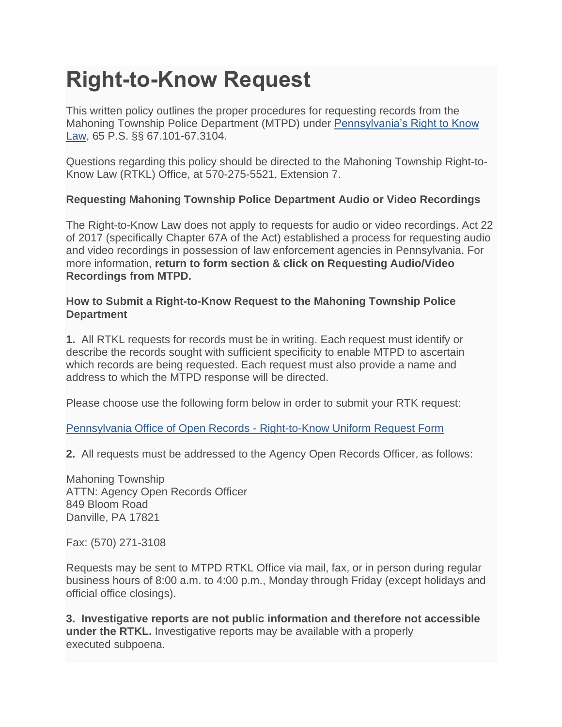## **Right-to-Know Request**

This written policy outlines the proper procedures for requesting records from the Mahoning Township Police Department (MTPD) under [Pennsylvania's Right to Know](https://www.psp.pa.gov/contact/Documents/Act_No_2008-3-SB_No-1.pdf)  [Law,](https://www.psp.pa.gov/contact/Documents/Act_No_2008-3-SB_No-1.pdf) 65 P.S. §§ 67.101-67.3104.

Questions regarding this policy should be directed to the Mahoning Township Right-to-Know Law (RTKL) Office, at 570-275-5521, Extension 7.

## **Requesting Mahoning Township Police Department Audio or Video Recordings**

The Right-to-Know Law does not apply to requests for audio or video recordings. Act 22 of 2017 (specifically Chapter 67A of the Act) established a process for requesting audio and video recordings in possession of law enforcement agencies in Pennsylvania. For more information, **return to form section & click on Requesting Audio/Video Recordings from MTPD.**

## **How to Submit a Right-to-Know Request to the Mahoning Township Police Department**

**1.** All RTKL requests for records must be in writing. Each request must identify or describe the records sought with sufficient specificity to enable MTPD to ascertain which records are being requested. Each request must also provide a name and address to which the MTPD response will be directed.

Please choose use the following form below in order to submit your RTK request:

[Pennsylvania Office of Open Records -](https://www.openrecords.pa.gov/Documents/RTKL/RTKRequestForm.pdf) Right-to-Know Uniform Request Form

**2.** All requests must be addressed to the Agency Open Records Officer, as follows:

Mahoning Township ATTN: Agency Open Records Officer 849 Bloom Road Danville, PA 17821

Fax: (570) 271-3108

Requests may be sent to MTPD RTKL Office via mail, fax, or in person during regular business hours of 8:00 a.m. to 4:00 p.m., Monday through Friday (except holidays and official office closings).

**3. Investigative reports are not public information and therefore not accessible under the RTKL.** Investigative reports may be available with a properly executed subpoena.